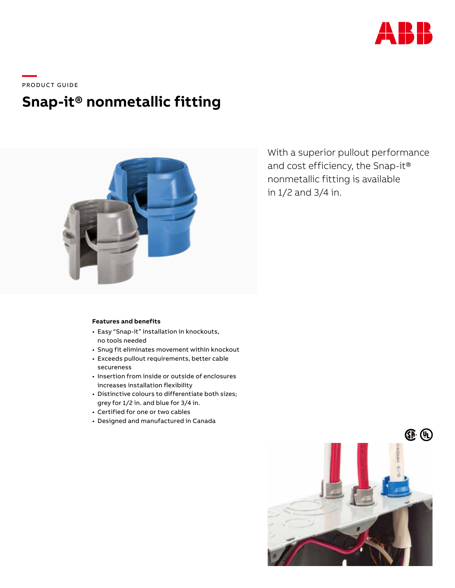

\_\_\_\_<br>PRODUCT GUIDE

## **Snap-it® nonmetallic fitting**



With a superior pullout performance and cost efficiency, the Snap-it® nonmetallic fitting is available in 1/2 and 3/4 in.

## **Features and benefits**

- Easy "Snap-it" installation in knockouts, no tools needed
- Snug fit eliminates movement within knockout
- Exceeds pullout requirements, better cable secureness
- Insertion from inside or outside of enclosures increases installation flexibility
- Distinctive colours to differentiate both sizes; grey for 1/2 in. and blue for 3/4 in.
- Certified for one or two cables
- Designed and manufactured in Canada